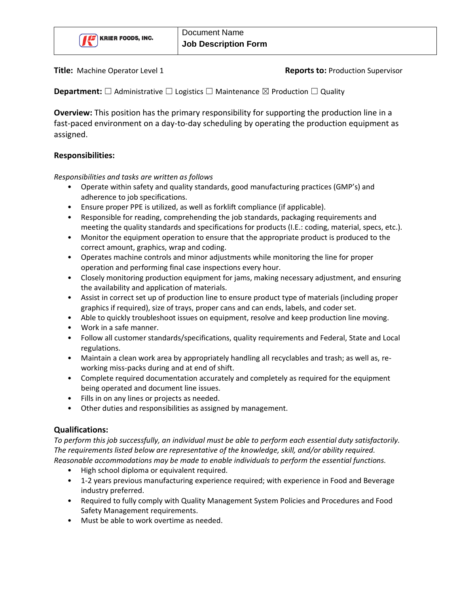

**Title:** Machine Operator Level 1 **Reports to:** Production Supervisor

**Department:**  $\Box$  Administrative  $\Box$  Logistics  $\Box$  Maintenance  $\boxtimes$  Production  $\Box$  Quality

**Overview:** This position has the primary responsibility for supporting the production line in a fast-paced environment on a day-to-day scheduling by operating the production equipment as assigned.

## **Responsibilities:**

*Responsibilities and tasks are written as follows*

- Operate within safety and quality standards, good manufacturing practices (GMP's) and adherence to job specifications.
- Ensure proper PPE is utilized, as well as forklift compliance (if applicable).
- Responsible for reading, comprehending the job standards, packaging requirements and meeting the quality standards and specifications for products (I.E.: coding, material, specs, etc.).
- Monitor the equipment operation to ensure that the appropriate product is produced to the correct amount, graphics, wrap and coding.
- Operates machine controls and minor adjustments while monitoring the line for proper operation and performing final case inspections every hour.
- Closely monitoring production equipment for jams, making necessary adjustment, and ensuring the availability and application of materials.
- Assist in correct set up of production line to ensure product type of materials (including proper graphics if required), size of trays, proper cans and can ends, labels, and coder set.
- Able to quickly troubleshoot issues on equipment, resolve and keep production line moving.
- Work in a safe manner.
- Follow all customer standards/specifications, quality requirements and Federal, State and Local regulations.
- Maintain a clean work area by appropriately handling all recyclables and trash; as well as, reworking miss-packs during and at end of shift.
- Complete required documentation accurately and completely as required for the equipment being operated and document line issues.
- Fills in on any lines or projects as needed.
- Other duties and responsibilities as assigned by management.

## **Qualifications:**

*To perform this job successfully, an individual must be able to perform each essential duty satisfactorily. The requirements listed below are representative of the knowledge, skill, and/or ability required. Reasonable accommodations may be made to enable individuals to perform the essential functions.*

- High school diploma or equivalent required.
- 1-2 years previous manufacturing experience required; with experience in Food and Beverage industry preferred.
- Required to fully comply with Quality Management System Policies and Procedures and Food Safety Management requirements.
- Must be able to work overtime as needed.